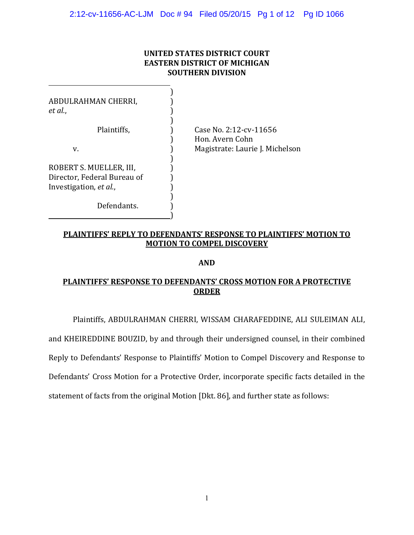### **UNITED STATES DISTRICT COURT EASTERN DISTRICT OF MICHIGAN SOUTHERN DIVISION**

| ABDULRAHMAN CHERRI,<br>et al.,                                                   |                                           |
|----------------------------------------------------------------------------------|-------------------------------------------|
| Plaintiffs,                                                                      | Case No. 2:12-cv-11656<br>Hon. Avern Cohn |
| v.                                                                               | Magistrate: Laurie J. Michelson           |
| ROBERT S. MUELLER, III,<br>Director, Federal Bureau of<br>Investigation, et al., |                                           |
| Defendants.                                                                      |                                           |

### **PLAINTIFFS' REPLY TO DEFENDANTS' RESPONSE TO PLAINTIFFS' MOTION TO MOTION TO COMPEL DISCOVERY**

### **AND**

# **PLAINTIFFS' RESPONSE TO DEFENDANTS' CROSS MOTION FOR A PROTECTIVE ORDER**

Plaintiffs, ABDULRAHMAN CHERRI, WISSAM CHARAFEDDINE, ALI SULEIMAN ALI,

and KHEIREDDINE BOUZID, by and through their undersigned counsel, in their combined

Reply to Defendants' Response to Plaintiffs' Motion to Compel Discovery and Response to

Defendants' Cross Motion for a Protective Order, incorporate specific facts detailed in the

statement of facts from the original Motion [Dkt. 86], and further state as follows: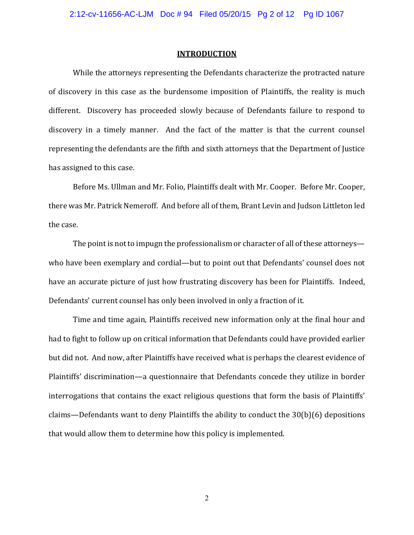#### **INTRODUCTION**

While the attorneys representing the Defendants characterize the protracted nature of discovery in this case as the burdensome imposition of Plaintiffs, the reality is much different. Discovery has proceeded slowly because of Defendants failure to respond to discovery in a timely manner. And the fact of the matter is that the current counsel representing the defendants are the fifth and sixth attorneys that the Department of Justice has assigned to this case.

Before Ms. Ullman and Mr. Folio. Plaintiffs dealt with Mr. Cooper. Before Mr. Cooper. there was Mr. Patrick Nemeroff. And before all of them, Brant Levin and Judson Littleton led the case.

The point is not to impugn the professionalism or character of all of these attorneyswho have been exemplary and cordial—but to point out that Defendants' counsel does not have an accurate picture of just how frustrating discovery has been for Plaintiffs. Indeed, Defendants' current counsel has only been involved in only a fraction of it.

Time and time again, Plaintiffs received new information only at the final hour and had to fight to follow up on critical information that Defendants could have provided earlier but did not. And now, after Plaintiffs have received what is perhaps the clearest evidence of Plaintiffs' discrimination—a questionnaire that Defendants concede they utilize in border interrogations that contains the exact religious questions that form the basis of Plaintiffs' claims—Defendants want to deny Plaintiffs the ability to conduct the 30(b)(6) depositions that would allow them to determine how this policy is implemented.

 $\overline{2}$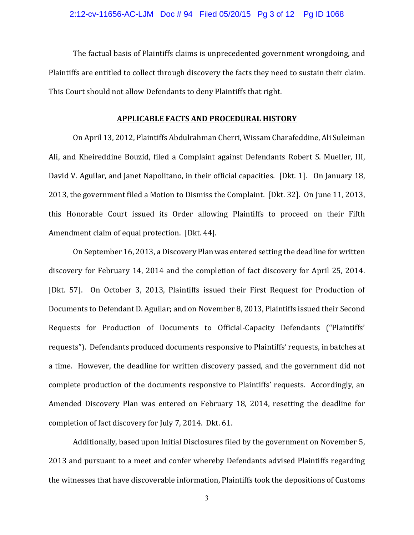The factual basis of Plaintiffs claims is unprecedented government wrongdoing, and Plaintiffs are entitled to collect through discovery the facts they need to sustain their claim. This Court should not allow Defendants to deny Plaintiffs that right.

#### **APPLICABLE FACTS AND PROCEDURAL HISTORY**

On April 13, 2012, Plaintiffs Abdulrahman Cherri, Wissam Charafeddine, Ali Suleiman Ali, and Kheireddine Bouzid, filed a Complaint against Defendants Robert S. Mueller, III. David V. Aguilar, and Janet Napolitano, in their official capacities. [Dkt. 1]. On January 18, 2013, the government filed a Motion to Dismiss the Complaint. [Dkt. 32]. On June 11, 2013, this Honorable Court issued its Order allowing Plaintiffs to proceed on their Fifth Amendment claim of equal protection. [Dkt. 44].

On September 16, 2013, a Discovery Plan was entered setting the deadline for written discovery for February 14, 2014 and the completion of fact discovery for April 25, 2014. [Dkt. 57]. On October 3, 2013, Plaintiffs issued their First Request for Production of Documents to Defendant D. Aguilar; and on November 8, 2013, Plaintiffs issued their Second Requests for Production of Documents to Official-Capacity Defendants ("Plaintiffs' requests"). Defendants produced documents responsive to Plaintiffs' requests, in batches at a time. However, the deadline for written discovery passed, and the government did not complete production of the documents responsive to Plaintiffs' requests. Accordingly, an Amended Discovery Plan was entered on February 18, 2014, resetting the deadline for completion of fact discovery for July 7, 2014. Dkt. 61.

Additionally, based upon Initial Disclosures filed by the government on November 5, 2013 and pursuant to a meet and confer whereby Defendants advised Plaintiffs regarding the witnesses that have discoverable information, Plaintiffs took the depositions of Customs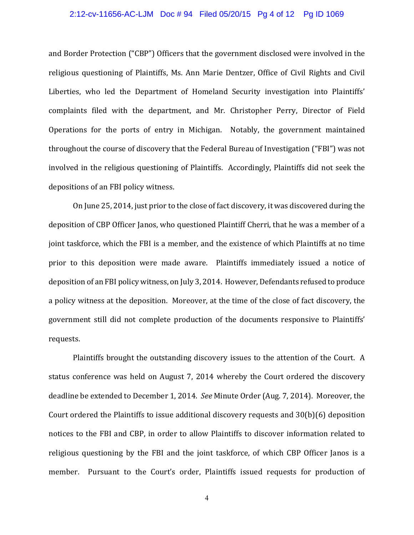#### 2:12-cv-11656-AC-LJM Doc # 94 Filed 05/20/15 Pg 4 of 12 Pg ID 1069

and Border Protection ("CBP") Officers that the government disclosed were involved in the religious questioning of Plaintiffs, Ms. Ann Marie Dentzer, Office of Civil Rights and Civil Liberties, who led the Department of Homeland Security investigation into Plaintiffs' complaints filed with the department, and Mr. Christopher Perry, Director of Field Operations for the ports of entry in Michigan. Notably, the government maintained throughout the course of discovery that the Federal Bureau of Investigation ("FBI") was not involved in the religious questioning of Plaintiffs. Accordingly, Plaintiffs did not seek the depositions of an FBI policy witness.

On June 25, 2014, just prior to the close of fact discovery, it was discovered during the deposition of CBP Officer Janos, who questioned Plaintiff Cherri, that he was a member of a joint taskforce, which the FBI is a member, and the existence of which Plaintiffs at no time prior to this deposition were made aware. Plaintiffs immediately issued a notice of deposition of an FBI policy witness, on July 3, 2014. However, Defendants refused to produce a policy witness at the deposition. Moreover, at the time of the close of fact discovery, the government still did not complete production of the documents responsive to Plaintiffs' requests.

Plaintiffs brought the outstanding discovery issues to the attention of the Court. A status conference was held on August 7, 2014 whereby the Court ordered the discovery deadline be extended to December 1, 2014. See Minute Order (Aug. 7, 2014). Moreover, the Court ordered the Plaintiffs to issue additional discovery requests and 30(b)(6) deposition notices to the FBI and CBP, in order to allow Plaintiffs to discover information related to religious questioning by the FBI and the joint taskforce, of which CBP Officer Janos is a member. Pursuant to the Court's order, Plaintiffs issued requests for production of

 $\overline{4}$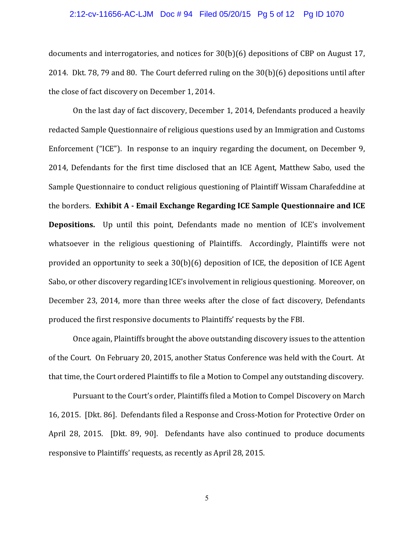#### 2:12-cv-11656-AC-LJM Doc # 94 Filed 05/20/15 Pg 5 of 12 Pg ID 1070

documents and interrogatories, and notices for 30(b)(6) depositions of CBP on August 17, 2014. Dkt. 78, 79 and 80. The Court deferred ruling on the  $30(b)(6)$  depositions until after the close of fact discovery on December 1, 2014.

On the last day of fact discovery, December 1, 2014, Defendants produced a heavily redacted Sample Questionnaire of religious questions used by an Immigration and Customs Enforcement ("ICE"). In response to an inquiry regarding the document, on December 9, 2014, Defendants for the first time disclosed that an ICE Agent, Matthew Sabo, used the Sample Questionnaire to conduct religious questioning of Plaintiff Wissam Charafeddine at Ǥ**Exhibit AǦEmail Exchange Regarding ICE Sample Questionnaire and ICE Depositions.** Up until this point, Defendants made no mention of ICE's involvement whatsoever in the religious questioning of Plaintiffs. Accordingly, Plaintiffs were not provided an opportunity to seek a 30(b)(6) deposition of ICE, the deposition of ICE Agent Sabo, or other discovery regarding ICE's involvement in religious questioning. Moreover, on December 23, 2014, more than three weeks after the close of fact discovery, Defendants produced the first responsive documents to Plaintiffs' requests by the FBI.

Once again. Plaintiffs brought the above outstanding discovery issues to the attention of the Court. On February 20, 2015, another Status Conference was held with the Court. At that time, the Court ordered Plaintiffs to file a Motion to Compel any outstanding discovery.

Pursuant to the Court's order, Plaintiffs filed a Motion to Compel Discovery on March 16, 2015. [Dkt. 86]. Defendants filed a Response and Cross-Motion for Protective Order on April 28, 2015. [Dkt. 89, 90]. Defendants have also continued to produce documents responsive to Plaintiffs' requests, as recently as April 28, 2015.

 $\sqrt{5}$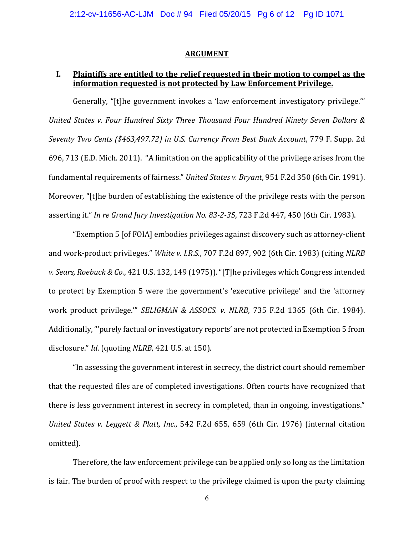#### **ARGUMENT**

### **I. Plaintiffs are entitled to the relief requested in their motion to compel as the information requested is not protected by Law Enforcement Privilege.**

Generally, "[t]he government invokes a 'law enforcement investigatory privilege."" *United States v. Four Hundred Sixty Three Thousand Four Hundred Ninety Seven Dollars & Seventv Two Cents* (\$463,497.72) *in U.S. Currency From Best Bank Account*, 779 F. Supp. 2d 696, 713 (E.D. Mich. 2011). "A limitation on the applicability of the privilege arises from the fundamental requirements of fairness." United States v. Bryant, 951 F.2d 350 (6th Cir. 1991). Moreover, "[t]he burden of establishing the existence of the privilege rests with the person asserting it." In re Grand Jury Investigation No. 83-2-35, 723 F.2d 447, 450 (6th Cir. 1983).

"Exemption 5 [of FOIA] embodies privileges against discovery such as attorney-client and work-product privileges." White v. I.R.S., 707 F.2d 897, 902 (6th Cir. 1983) (citing NLRB *v. Sears, Roebuck & Co.,* 421 U.S. 132, 149 (1975)). "[T]he privileges which Congress intended to protect by Exemption 5 were the government's 'executive privilege' and the 'attorney work product privilege." SELIGMAN & ASSOCS. *v. NLRB*, 735 F.2d 1365 (6th Cir. 1984). Additionally, "'purely factual or investigatory reports' are not protected in Exemption 5 from disclosure." *Id.* (quoting *NLRB*, 421 U.S. at 150).

"In assessing the government interest in secrecy, the district court should remember that the requested files are of completed investigations. Often courts have recognized that there is less government interest in secrecy in completed, than in ongoing, investigations." *United States v. Leggett & Platt, Inc.*, 542 F.2d 655, 659 (6th Cir. 1976) (internal citation omitted).

Therefore, the law enforcement privilege can be applied only so long as the limitation is fair. The burden of proof with respect to the privilege claimed is upon the party claiming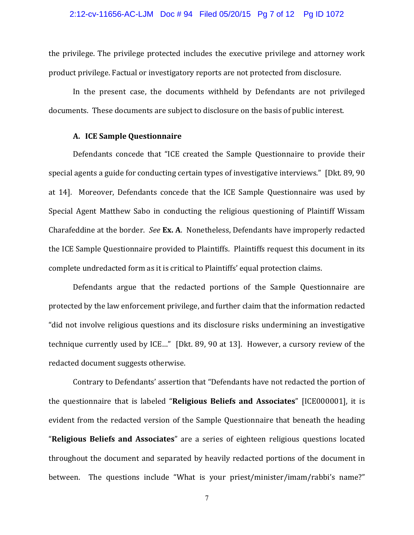#### 2:12-cv-11656-AC-LJM Doc # 94 Filed 05/20/15 Pg 7 of 12 Pg ID 1072

the privilege. The privilege protected includes the executive privilege and attorney work product privilege. Factual or investigatory reports are not protected from disclosure.

In the present case, the documents withheld by Defendants are not privileged documents. These documents are subject to disclosure on the basis of public interest.

### **A. ICE Sample Questionnaire**

Defendants concede that "ICE created the Sample Questionnaire to provide their special agents a guide for conducting certain types of investigative interviews." [Dkt. 89, 90] at 14]. Moreover, Defendants concede that the ICE Sample Questionnaire was used by Special Agent Matthew Sabo in conducting the religious questioning of Plaintiff Wissam Charafeddine at the border. See Ex. A. Nonetheless, Defendants have improperly redacted the ICE Sample Questionnaire provided to Plaintiffs. Plaintiffs request this document in its complete undredacted form as it is critical to Plaintiffs' equal protection claims.

Defendants argue that the redacted portions of the Sample Questionnaire are protected by the law enforcement privilege, and further claim that the information redacted "did not involve religious questions and its disclosure risks undermining an investigative technique currently used by ICE..." [Dkt. 89, 90 at 13]. However, a cursory review of the redacted document suggests otherwise.

Contrary to Defendants' assertion that "Defendants have not redacted the portion of **the questionnaire that is labeled "Religious Beliefs and Associates" [ICE000001], it is** evident from the redacted version of the Sample Questionnaire that beneath the heading "Religious Beliefs and Associates" are a series of eighteen religious questions located throughout the document and separated by heavily redacted portions of the document in between. The questions include "What is your priest/minister/imam/rabbi's name?"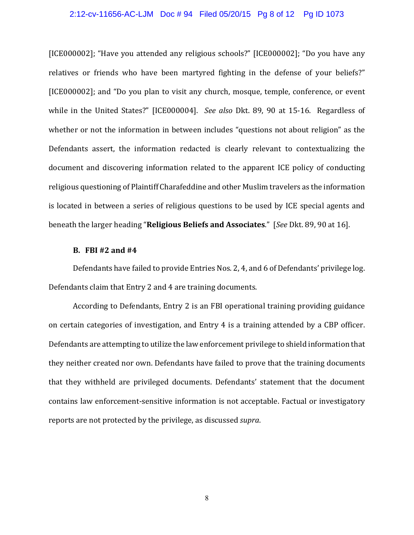#### 2:12-cv-11656-AC-LJM Doc # 94 Filed 05/20/15 Pg 8 of 12 Pg ID 1073

[ICE000002]; "Have you attended any religious schools?" [ICE000002]; "Do you have any relatives or friends who have been martyred fighting in the defense of your beliefs?" [ICE000002]; and "Do you plan to visit any church, mosque, temple, conference, or event while in the United States?" [ICE000004]. See also Dkt. 89, 90 at 15-16. Regardless of whether or not the information in between includes "questions not about religion" as the Defendants assert, the information redacted is clearly relevant to contextualizing the document and discovering information related to the apparent ICE policy of conducting religious questioning of Plaintiff Charafeddine and other Muslim travelers as the information is located in between a series of religious questions to be used by ICE special agents and beneath the larger heading "Religious Beliefs and Associates." [See Dkt. 89, 90 at 16].

### **B. FBI #2 and #4**

Defendants have failed to provide Entries Nos. 2, 4, and 6 of Defendants' privilege log. Defendants claim that Entry 2 and 4 are training documents.

According to Defendants, Entry 2 is an FBI operational training providing guidance on certain categories of investigation, and Entry 4 is a training attended by a CBP officer. Defendants are attempting to utilize the law enforcement privilege to shield information that they neither created nor own. Defendants have failed to prove that the training documents that they withheld are privileged documents. Defendants' statement that the document contains law enforcement-sensitive information is not acceptable. Factual or investigatory reports are not protected by the privilege, as discussed *supra*.

 $8\,$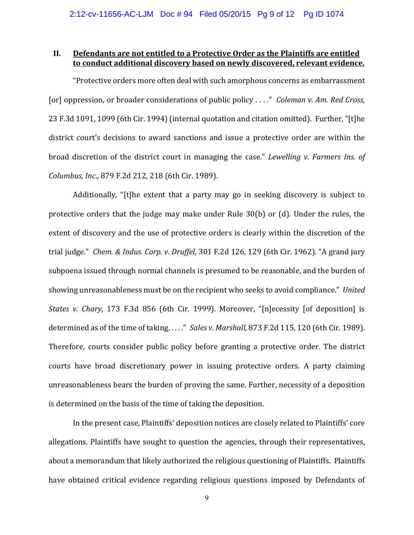## **II. Defendants are not entitled to a Protective Order as the Plaintiffs are entitled to conduct additional discovery based on newly discovered, relevant evidence.**

"Protective orders more often deal with such amorphous concerns as embarrassment [or] oppression, or broader considerations of public policy . . . ." *Coleman v. Am. Red Cross*, 23 F.3d 1091, 1099 (6th Cir. 1994) (internal quotation and citation omitted). Further, "[t]he district court's decisions to award sanctions and issue a protective order are within the broad discretion of the district court in managing the case." Lewelling v. Farmers Ins. of *Columbus, Inc.*, 879 F.2d 212, 218 (6th Cir. 1989).

Additionally, "[t]he extent that a party may go in seeking discovery is subject to protective orders that the judge may make under Rule 30(b) or (d). Under the rules, the extent of discovery and the use of protective orders is clearly within the discretion of the trial judge." *Chem. & Indus. Corp. v. Druffel*, 301 F.2d 126, 129 (6th Cir. 1962). "A grand jury subpoena issued through normal channels is presumed to be reasonable, and the burden of showing unreasonableness must be on the recipient who seeks to avoid compliance." United *States v. Chary*, 173 F.3d 856 (6th Cir. 1999). Moreover, "[n]ecessity [of deposition] is determined as of the time of taking, ...." Sales v. Marshall, 873 F.2d 115, 120 (6th Cir. 1989). Therefore, courts consider public policy before granting a protective order. The district courts have broad discretionary power in issuing protective orders. A party claiming unreasonableness bears the burden of proving the same. Further, necessity of a deposition is determined on the basis of the time of taking the deposition.

In the present case, Plaintiffs' deposition notices are closely related to Plaintiffs' core allegations. Plaintiffs have sought to question the agencies, through their representatives, about a memorandum that likely authorized the religious questioning of Plaintiffs. Plaintiffs have obtained critical evidence regarding religious questions imposed by Defendants of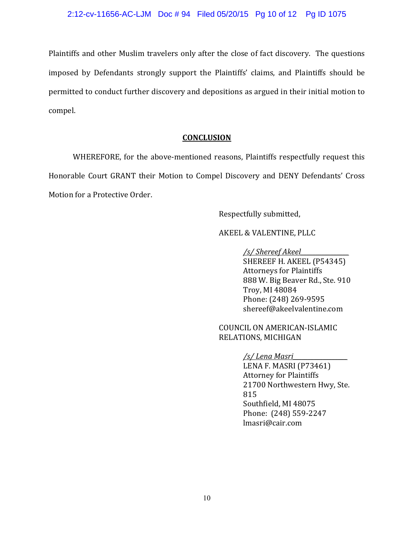Plaintiffs and other Muslim travelers only after the close of fact discovery. The questions imposed by Defendants strongly support the Plaintiffs' claims, and Plaintiffs should be permitted to conduct further discovery and depositions as argued in their initial motion to compel.

## **CONCLUSION**

WHEREFORE, for the above-mentioned reasons, Plaintiffs respectfully request this Honorable Court GRANT their Motion to Compel Discovery and DENY Defendants' Cross Motion for a Protective Order.

Respectfully submitted,

AKEEL & VALENTINE, PLLC

*/s/ Shereef Akeel\_\_\_\_\_\_\_\_\_\_\_\_\_\_\_\_*

SHEREEF H. AKEEL (P54345) **Attorneys for Plaintiffs** 888 W. Big Beaver Rd., Ste. 910 Τroy, MI 48084 Phone: (248) 269-9595 shereef@akeelvalentine.com

COUNCIL ON AMERICAN-ISLAMIC RELATIONS, MICHIGAN

## */s/ Lena Masri\_\_\_\_\_\_\_\_\_\_\_\_\_\_\_\_\_\_*

LENA F. MASRI (P73461) **Attorney for Plaintiffs** 21700 Northwestern Hwy, Ste.  $815$ Southfield, MI 48075 Phone: (248) 559-2247 lmasri@cair.com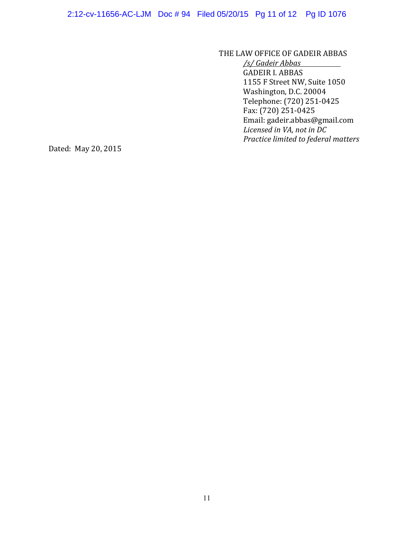THE LAW OFFICE OF GADEIR ABBAS

*/s/ Gadeir Abbas*  **GADEIR I. ABBAS** 1155 F Street NW, Suite 1050 Washington, D.C. 20004 Telephone: (720) 251-0425  $Fax: (720) 251-0425$ Email: gadeir.abbas@gmail.com *Licensed in VA, not in DC Practice limited to federal matters*

Dated: May 20, 2015